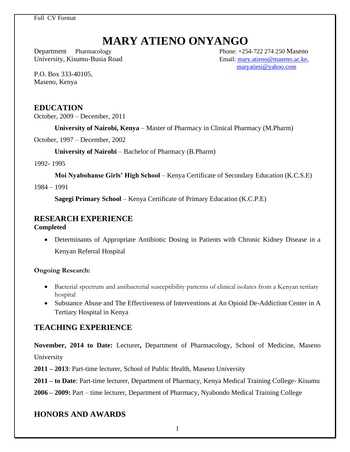Full CV Format

# **MARY ATIENO ONYANGO**

Department Pharmacology Phone: +254-722 274 250 Maseno University, Kisumu-Busia Road Email: [mary.atieno@maseno.ac.ke,](mailto:mary.atieno@maseno.ac.ke) [maryatiesi@yahoo.com](mailto:maryatiesi@yahoo.com)

P.O. Box 333-40105, Maseno, Kenya

#### **EDUCATION**

October, 2009 – December, 2011

**University of Nairobi, Kenya** – Master of Pharmacy in Clinical Pharmacy (M.Pharm)

October, 1997 – December, 2002

**University of Nairobi** – Bachelor of Pharmacy (B.Pharm)

1992- 1995

**Moi Nyabohanse Girls' High School** – Kenya Certificate of Secondary Education (K.C.S.E)

1984 – 1991

**Sagegi Primary School** – Kenya Certificate of Primary Education (K.C.P.E)

## **RESEARCH EXPERIENCE**

**Completed** 

• Determinants of Appropriate Antibiotic Dosing in Patients with Chronic Kidney Disease in a Kenyan Referral Hospital

#### **Ongoing Research:**

- Bacterial spectrum and antibacterial susceptibility patterns of clinical isolates from a Kenyan tertiary hospital
- Substance Abuse and The Effectiveness of Interventions at An Opioid De-Addiction Center in A Tertiary Hospital in Kenya

#### **TEACHING EXPERIENCE**

**November, 2014 to Date:** Lecturer**,** Department of Pharmacology, School of Medicine, Maseno University

**2011 – 2013**: Part-time lecturer, School of Public Health, Maseno University

**2011 – to Date**: Part-time lecturer, Department of Pharmacy, Kenya Medical Training College- Kisumu

**2006 – 2009:** Part – time lecturer, Department of Pharmacy, Nyabondo Medical Training College

#### **HONORS AND AWARDS**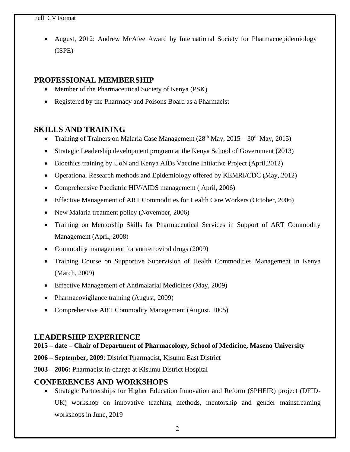#### Full CV Format

• August, 2012: Andrew McAfee Award by International Society for Pharmacoepidemiology (ISPE)

#### **PROFESSIONAL MEMBERSHIP**

- Member of the Pharmaceutical Society of Kenya (PSK)
- Registered by the Pharmacy and Poisons Board as a Pharmacist

#### **SKILLS AND TRAINING**

- Training of Trainers on Malaria Case Management  $(28<sup>th</sup>$  May,  $2015 30<sup>th</sup>$  May,  $2015)$
- Strategic Leadership development program at the Kenya School of Government (2013)
- Bioethics training by UoN and Kenya AIDs Vaccine Initiative Project (April, 2012)
- Operational Research methods and Epidemiology offered by KEMRI/CDC (May, 2012)
- Comprehensive Paediatric HIV/AIDS management ( April, 2006)
- Effective Management of ART Commodities for Health Care Workers (October, 2006)
- New Malaria treatment policy (November, 2006)
- Training on Mentorship Skills for Pharmaceutical Services in Support of ART Commodity Management (April, 2008)
- Commodity management for antiretroviral drugs (2009)
- Training Course on Supportive Supervision of Health Commodities Management in Kenya (March, 2009)
- Effective Management of Antimalarial Medicines (May, 2009)
- Pharmacovigilance training (August, 2009)
- Comprehensive ART Commodity Management (August, 2005)

#### **LEADERSHIP EXPERIENCE**

#### **2015 – date – Chair of Department of Pharmacology, School of Medicine, Maseno University**

**2006 – September, 2009**: District Pharmacist, Kisumu East District

**2003 – 2006:** Pharmacist in-charge at Kisumu District Hospital

#### **CONFERENCES AND WORKSHOPS**

• Strategic Partnerships for Higher Education Innovation and Reform (SPHEIR) project (DFID-UK) workshop on innovative teaching methods, mentorship and gender mainstreaming workshops in June, 2019